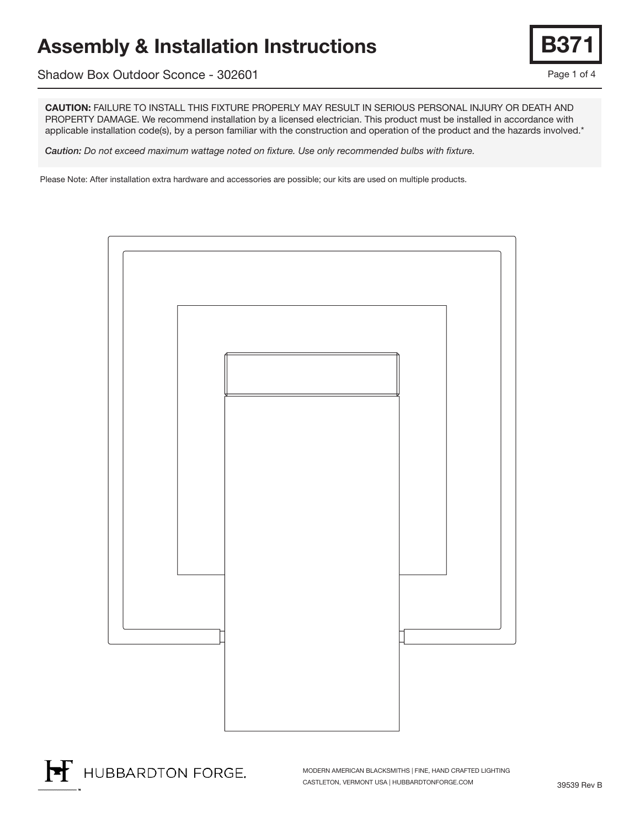# Assembly & Installation Instructions

Shadow Box Outdoor Sconce - 302601

CAUTION: FAILURE TO INSTALL THIS FIXTURE PROPERLY MAY RESULT IN SERIOUS PERSONAL INJURY OR DEATH AND PROPERTY DAMAGE. We recommend installation by a licensed electrician. This product must be installed in accordance with applicable installation code(s), by a person familiar with the construction and operation of the product and the hazards involved.\*

*Caution: Do not exceed maximum wattage noted on fixture. Use only recommended bulbs with fixture.*

Please Note: After installation extra hardware and accessories are possible; our kits are used on multiple products.



HUBBARDTON FORGE.

MODERN AMERICAN BLACKSMITHS | FINE, HAND CRAFTED LIGHTING CASTLETON, VERMONT USA | HUBBARDTONFORGE.COM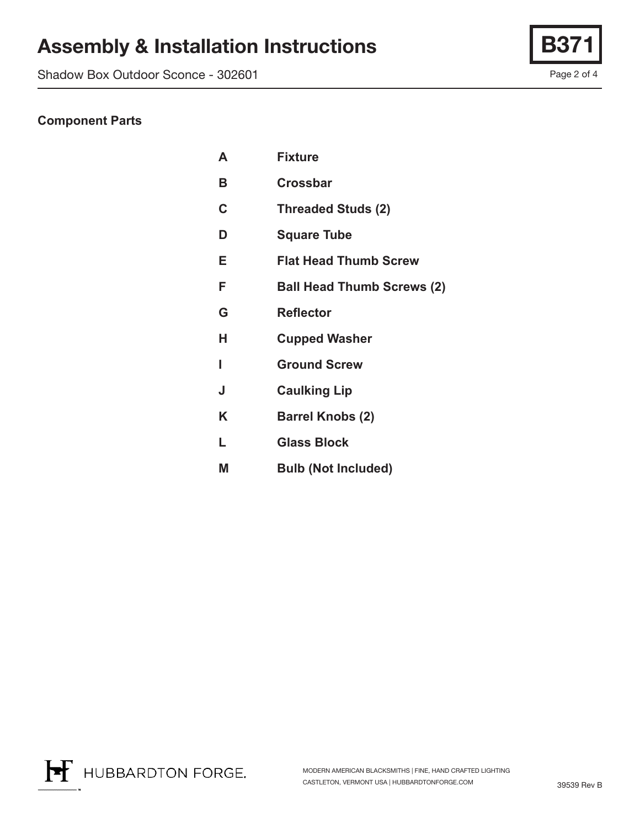# Assembly & Installation Instructions | B

Shadow Box Outdoor Sconce - 302601

Page 2 of 4

### **Component Parts**

| A | <b>Fixture</b>                    |
|---|-----------------------------------|
| B | <b>Crossbar</b>                   |
| C | <b>Threaded Studs (2)</b>         |
| D | <b>Square Tube</b>                |
| Е | <b>Flat Head Thumb Screw</b>      |
| F | <b>Ball Head Thumb Screws (2)</b> |
| G | <b>Reflector</b>                  |
| н | <b>Cupped Washer</b>              |
| ı | <b>Ground Screw</b>               |
| J | <b>Caulking Lip</b>               |
| K | <b>Barrel Knobs (2)</b>           |
| L | <b>Glass Block</b>                |
| М | <b>Bulb (Not Included)</b>        |

H HUBBARDTON FORGE.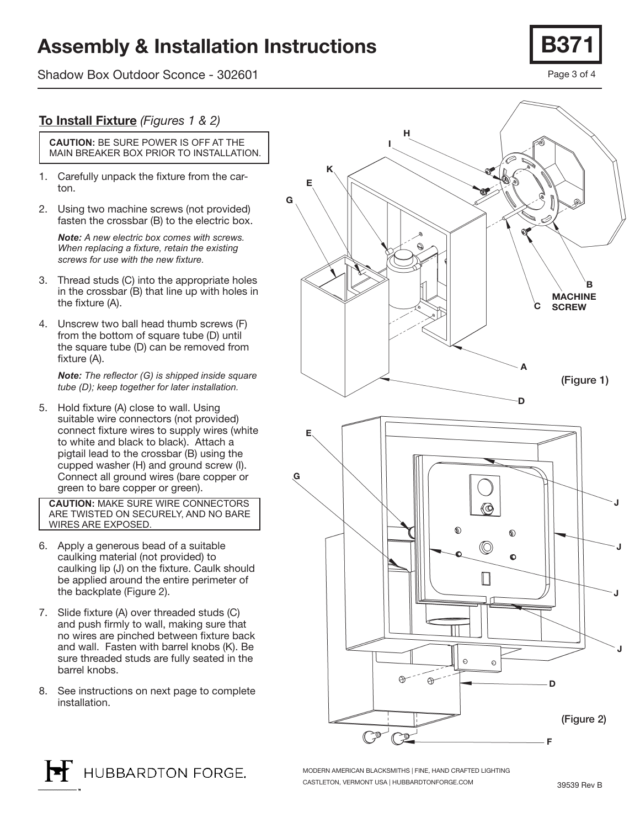## Assembly & Installation Instructions

Shadow Box Outdoor Sconce - 302601



#### To Install Fixture *(Figures 1 & 2)*

**CAUTION:** BE SURE POWER IS OFF AT THE MAIN BREAKER BOX PRIOR TO INSTALLATION.

- 1. Carefully unpack the fixture from the carton.
- 2. Using two machine screws (not provided) fasten the crossbar (B) to the electric box.

*Note: A new electric box comes with screws. When replacing a fixture, retain the existing screws for use with the new fixture.*

- 3. Thread studs (C) into the appropriate holes in the crossbar (B) that line up with holes in the fixture (A).
- 4. Unscrew two ball head thumb screws (F) from the bottom of square tube (D) until the square tube (D) can be removed from fixture (A).

*Note: The reflector (G) is shipped inside square tube (D); keep together for later installation.*

5. Hold fixture (A) close to wall. Using suitable wire connectors (not provided) connect fixture wires to supply wires (white to white and black to black). Attach a pigtail lead to the crossbar (B) using the cupped washer (H) and ground screw (I). Connect all ground wires (bare copper or green to bare copper or green).

**CAUTION:** MAKE SURE WIRE CONNECTORS ARE TWISTED ON SECURELY, AND NO BARE WIRES ARE EXPOSED.

- 6. Apply a generous bead of a suitable caulking material (not provided) to caulking lip (J) on the fixture. Caulk should be applied around the entire perimeter of the backplate (Figure 2).
- 7. Slide fixture (A) over threaded studs (C) and push firmly to wall, making sure that no wires are pinched between fixture back and wall. Fasten with barrel knobs (K). Be sure threaded studs are fully seated in the barrel knobs.
- 8. See instructions on next page to complete installation.





MODERN AMERICAN BLACKSMITHS | FINE, HAND CRAFTED LIGHTING CASTLETON, VERMONT USA | HUBBARDTONFORGE.COM